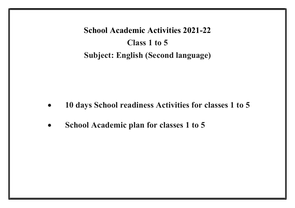School Academic Activities 2021-22 Class 1 to 5 Subject: English (Second language)

- 10 days School readiness Activities for classes 1 to 5
- School Academic plan for classes 1 to 5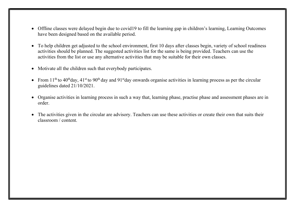- Offline classes were delayed begin due to covid19 to fill the learning gap in children's learning, Learning Outcomes have been designed based on the available period.
- To help children get adjusted to the school environment, first 10 days after classes begin, variety of school readiness activities should be planned. The suggested activities list for the same is being provided. Teachers can use the activities from the list or use any alternative activities that may be suitable for their own classes.
- Motivate all the children such that everybody participates.
- From  $11<sup>th</sup>$  to  $40<sup>th</sup>$  day,  $41<sup>st</sup>$  to  $90<sup>th</sup>$  day and  $91<sup>st</sup>$  day onwards organise activities in learning process as per the circular guidelines dated 21/10/2021.
- Organise activities in learning process in such a way that, learning phase, practise phase and assessment phases are in order.
- The activities given in the circular are advisory. Teachers can use these activities or create their own that suits their classroom / content.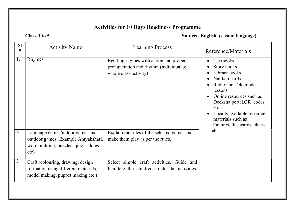## Activities for 10 Days Readiness Programme

Class-1 to 5 Subject- English (second language)

| S <sub>1</sub><br>no | <b>Activity Name</b>                                                                                                    | <b>Learning Process</b>                                                                                      | Reference/Materials                                                                                                                                                                                                                             |
|----------------------|-------------------------------------------------------------------------------------------------------------------------|--------------------------------------------------------------------------------------------------------------|-------------------------------------------------------------------------------------------------------------------------------------------------------------------------------------------------------------------------------------------------|
|                      | <b>Rhymes</b>                                                                                                           | Reciting rhymes with action and proper<br>pronunciation and rhythm (individual $\&$<br>whole class activity) | Textbooks<br>Story books<br>Library books<br>Nalikali cards<br>Radio and Tele mode<br>lessons<br>Online resources such as<br>Deeksha portal, QR codes<br>etc<br>Locally available resource<br>materials such as<br>Pictures, flashcards, charts |
|                      | Language games/indoor games and<br>outdoor games (Example Antyakshari,<br>word building, puzzles, quiz, riddles<br>etc) | Explain the rules of the selected games and<br>make them play as per the rules.                              | etc                                                                                                                                                                                                                                             |
| $\mathfrak{I}$       | Craft (colouring, drawing, design<br>formation using different materials,<br>model making, puppet making etc)           | Select simple craft activities. Guide and<br>facilitate the children to do the activities.                   |                                                                                                                                                                                                                                                 |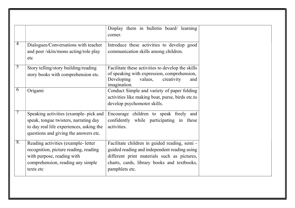|    |                                                                                                                                                                      | Display them in bulletin board/ learning<br>corner.                                                                                                                                                           |
|----|----------------------------------------------------------------------------------------------------------------------------------------------------------------------|---------------------------------------------------------------------------------------------------------------------------------------------------------------------------------------------------------------|
| 4  | Dialogues/Conversations with teacher<br>and peer /skits/mono acting/role play<br>etc                                                                                 | Introduce these activities to develop good<br>communication skills among children.                                                                                                                            |
| 5  | Story telling/story building/reading<br>story books with comprehension etc.                                                                                          | Facilitate these activities to develop the skills<br>of speaking with expression, comprehension,<br>Developing<br>values,<br>creativity<br>and<br>imagination.                                                |
| 6  | Origami                                                                                                                                                              | Conduct Simple and variety of paper folding<br>activities like making boat, purse, birds etc.to<br>develop psychomotor skills.                                                                                |
|    | Speaking activities (example- pick and<br>speak, tongue twisters, narrating day<br>to day real life experiences, asking the<br>questions and giving the answers etc. | Encourage children to speak freely and<br>confidently while participating in these<br>activities.                                                                                                             |
| 8. | Reading activities (example- letter<br>recognition, picture reading, reading<br>with purpose, reading with<br>comprehension, reading any simple<br>texts etc         | Facilitate children in guided reading, semi -<br>guided reading and independent reading using<br>different print materials such as pictures,<br>charts, cards, library books and textbooks,<br>pamphlets etc. |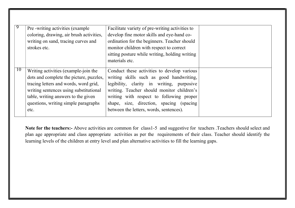|    | Pre -writing activities (example)<br>coloring, drawing, air brush activities,<br>writing on sand, tracing curves and<br>strokes etc.                                                                                                                      | Facilitate variety of pre-writing activities to<br>develop fine motor skills and eye-hand co-<br>ordination for the beginners. Teacher should<br>monitor children with respect to correct<br>sitting posture while writing, holding writing<br>materials etc.                                                         |  |
|----|-----------------------------------------------------------------------------------------------------------------------------------------------------------------------------------------------------------------------------------------------------------|-----------------------------------------------------------------------------------------------------------------------------------------------------------------------------------------------------------------------------------------------------------------------------------------------------------------------|--|
| 10 | Writing activities (example-join the<br>dots and complete the picture, puzzles,<br>tracing letters and words, word grid,<br>writing sentences using substitutional<br>table, writing answers to the given<br>questions, writing simple paragraphs<br>etc. | Conduct these activities to develop various<br>writing skills such as good handwriting,<br>legibility, clarity in writing, purposive<br>writing. Teacher should monitor children's<br>writing with respect to following proper<br>shape, size, direction, spacing (spacing<br>between the letters, words, sentences). |  |

Note for the teachers:- Above activities are common for class1-5 and suggestive for teachers .Teachers should select and plan age appropriate and class appropriate activities as per the requirements of their class. Teacher should identify the learning levels of the children at entry level and plan alternative activities to fill the learning gaps.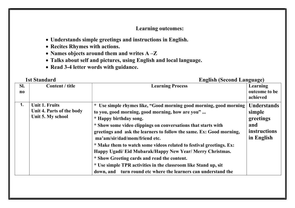## Learning outcomes:

- Understands simple greetings and instructions in English.
- Recites Rhymes with actions.
- Names objects around them and writes A -Z
- Talks about self and pictures, using English and local language.
- Read 3-4 letter words with guidance.

#### 1st Standard English (Second Language)

| SI.<br>$\bf{no}$ | Content / title                                                  | <b>Learning Process</b>                                                                                                                                                                                                                                                                                                                                                                                                                                                                                                                                                                                                                                          | Learning<br>outcome to be<br>achieved                                          |
|------------------|------------------------------------------------------------------|------------------------------------------------------------------------------------------------------------------------------------------------------------------------------------------------------------------------------------------------------------------------------------------------------------------------------------------------------------------------------------------------------------------------------------------------------------------------------------------------------------------------------------------------------------------------------------------------------------------------------------------------------------------|--------------------------------------------------------------------------------|
| 1.               | Unit 1. Fruits<br>Unit 4. Parts of the body<br>Unit 5. My school | Use simple rhymes like, "Good morning good morning, good morning  <br>$\star$<br>to you, good morning, good morning, how are you"<br>* Happy birthday song.<br>* Show some video clippings on conversations that starts with<br>greetings and ask the learners to follow the same. Ex: Good morning,<br>ma'am/sir/dad/mom/friend etc.<br>* Make them to watch some videos related to festival greetings. Ex:<br>Happy Ugadi/ Eid Mubarak/Happy New Year/ Merry Christmas.<br>* Show Greeting cards and read the content.<br>* Use simple TPR activities in the classroom like Stand up, sit<br>turn round etc where the learners can understand the<br>down, and | <b>Understands</b><br>simple<br>greetings<br>and<br>instructions<br>in English |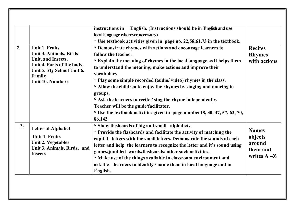| 2. | <b>Unit 1. Fruits</b><br><b>Unit 3. Animals, Birds</b><br>Unit, and Insects.<br>Unit 4. Parts of the body.<br>Unit 5. My School Unit 6. | instructions in English. (Instructions should be in English and use<br>local language wherever necessary)<br>* Use textbook activities given in page no. 22,58,61,73 in the textbook.<br>* Demonstrate rhymes with actions and encourage learners to<br>follow the teacher.<br>* Explain the meaning of rhymes in the local language as it helps them<br>to understand the meaning, make actions and improve their                                                                         | <b>Recites</b><br><b>Rhymes</b><br>with actions                 |
|----|-----------------------------------------------------------------------------------------------------------------------------------------|--------------------------------------------------------------------------------------------------------------------------------------------------------------------------------------------------------------------------------------------------------------------------------------------------------------------------------------------------------------------------------------------------------------------------------------------------------------------------------------------|-----------------------------------------------------------------|
|    | Family<br><b>Unit 10. Numbers</b>                                                                                                       | vocabulary.<br>* Play some simple recorded (audio/video) rhymes in the class.<br>* Allow the children to enjoy the rhymes by singing and dancing in<br>groups.<br>* Ask the learners to recite / sing the rhyme independently.<br>Teacher will be the guide/facilitator.<br>* Use the textbook activities given in page number $18, 30, 47, 57, 62, 70,$<br>86,142                                                                                                                         |                                                                 |
| 3. | <b>Letter of Alphabet</b><br><b>Unit 1. Fruits</b><br><b>Unit 2. Vegetables</b><br>Unit 3. Animals, Birds, and<br><b>Insects</b>        | * Show flashcards of big and small alphabets.<br>* Provide the flashcards and facilitate the activity of matching the<br>capital letters with the small letters. Demonstrate the sounds of each<br>letter and help the learners to recognize the letter and it's sound using<br>games/jumbled words/flashcards/ other such activities.<br>* Make use of the things available in classroom environment and<br>ask the learners to identify / name them in local language and in<br>English. | <b>Names</b><br>objects<br>around<br>them and<br>writes $A - Z$ |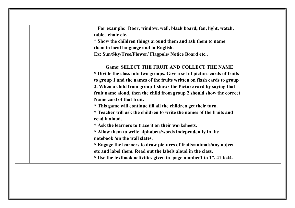| For example: Door, window, wall, black board, fan, light, watch,          |
|---------------------------------------------------------------------------|
| table, chair etc.                                                         |
| * Show the children things around them and ask them to name               |
| them in local language and in English.                                    |
| Ex: Sun/Sky/Tree/Flower/ Flagpole/ Notice Board etc.,                     |
| <b>Game: SELECT THE FRUIT AND COLLECT THE NAME</b>                        |
| * Divide the class into two groups. Give a set of picture cards of fruits |
| to group 1 and the names of the fruits written on flash cards to group    |
| 2. When a child from group 1 shows the Picture card by saying that        |
| fruit name aloud, then the child from group 2 should show the correct     |
| Name card of that fruit.                                                  |
| * This game will continue till all the children get their turn.           |
| * Teacher will ask the children to write the names of the fruits and      |
| read it aloud.                                                            |
| * Ask the learners to trace it on their worksheets.                       |
| * Allow them to write alphabets/words independently in the                |
| notebook /on the wall slates.                                             |
| * Engage the learners to draw pictures of fruits/animals/any object       |
| etc and label them. Read out the labels aloud in the class.               |
| * Use the textbook activities given in page number1 to 17, 41 to 44.      |
|                                                                           |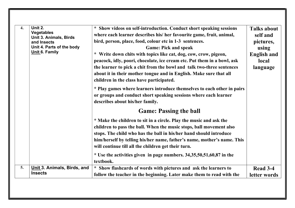| $\overline{4}$ . | Unit 2.<br><b>Vegetables</b><br><b>Unit 3. Animals, Birds</b><br>and Insects<br>Unit 4. Parts of the body<br>Unit 6. Family | * Show videos on self-introduction. Conduct short speaking sessions<br>where each learner describes his/ her favourite game, fruit, animal,<br>bird, person, place, food, colour etc in 1-3 sentences.<br><b>Game: Pick and speak</b><br>* Write down chits with topics like cat, dog, cow, crow, pigeon,<br>peacock, idly, poori, chocolate, ice cream etc. Put them in a bowl, ask<br>the learner to pick a chit from the bowl and talk two-three sentences<br>about it in their mother tongue and in English. Make sure that all<br>children in the class have participated.<br>* Play games where learners introduce themselves to each other in pairs<br>or groups and conduct short speaking sessions where each learner<br>describes about his/her family.<br><b>Game: Passing the ball</b><br>* Make the children to sit in a circle. Play the music and ask the<br>children to pass the ball. When the music stops, ball movement also<br>stops. The child who has the ball in his/her hand should introduce<br>him/herself by telling his/her name, father's name, mother's name. This<br>will continue till all the children get their turn.<br>* Use the activities given in page numbers. 34,35,50,51,60,87 in the<br>textbook. | <b>Talks about</b><br>self and<br>pictures,<br>using<br><b>English and</b><br>local<br>language |
|------------------|-----------------------------------------------------------------------------------------------------------------------------|----------------------------------------------------------------------------------------------------------------------------------------------------------------------------------------------------------------------------------------------------------------------------------------------------------------------------------------------------------------------------------------------------------------------------------------------------------------------------------------------------------------------------------------------------------------------------------------------------------------------------------------------------------------------------------------------------------------------------------------------------------------------------------------------------------------------------------------------------------------------------------------------------------------------------------------------------------------------------------------------------------------------------------------------------------------------------------------------------------------------------------------------------------------------------------------------------------------------------------------------|-------------------------------------------------------------------------------------------------|
| 5.               | Unit 3. Animals, Birds, and                                                                                                 | * Show flashcards of words with pictures and ask the learners to                                                                                                                                                                                                                                                                                                                                                                                                                                                                                                                                                                                                                                                                                                                                                                                                                                                                                                                                                                                                                                                                                                                                                                             | Read 3-4                                                                                        |
|                  | <b>Insects</b>                                                                                                              | follow the teacher in the beginning. Later make them to read with the                                                                                                                                                                                                                                                                                                                                                                                                                                                                                                                                                                                                                                                                                                                                                                                                                                                                                                                                                                                                                                                                                                                                                                        | letter words                                                                                    |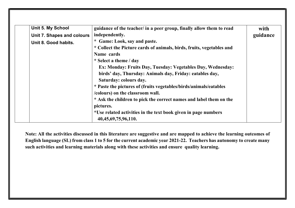| <b>Unit 5. My School</b>   | guidance of the teacher/ in a peer group, finally allow them to read  | with     |
|----------------------------|-----------------------------------------------------------------------|----------|
| Unit 7. Shapes and colours | independently.                                                        | guidance |
| Unit 8. Good habits.       | * Game: Look, say and paste.                                          |          |
|                            | * Collect the Picture cards of animals, birds, fruits, vegetables and |          |
|                            | Name cards                                                            |          |
|                            | * Select a theme / day                                                |          |
|                            | Ex: Monday: Fruits Day, Tuesday: Vegetables Day, Wednesday:           |          |
|                            | birds' day, Thursday: Animals day, Friday: eatables day,              |          |
|                            | Saturday: colours day.                                                |          |
|                            | * Paste the pictures of (fruits vegetables/birds/animals/eatables     |          |
|                            | /colours) on the classroom wall.                                      |          |
|                            | * Ask the children to pick the correct names and label them on the    |          |
|                            | pictures.                                                             |          |
|                            | *Use related activities in the text book given in page numbers        |          |
|                            | 40, 45, 69, 75, 96, 110.                                              |          |

Note: All the activities discussed in this literature are suggestive and are mapped to achieve the learning outcomes of English language (SL) from class 1 to 5 for the current academic year 2021-22. Teachers has autonomy to create many such activities and learning materials along with these activities and ensure quality learning.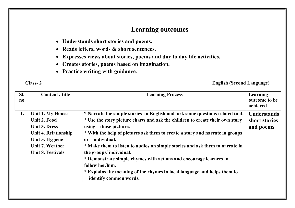# Learning outcomes

- Understands short stories and poems.
- Reads letters, words & short sentences.
- Expresses views about stories, poems and day to day life activities.
- Creates stories, poems based on imagination.
- Practice writing with guidance.

## Class- 2 English (Second Language)

| SI.<br>$\bf{no}$ | Content / title             | <b>Learning Process</b>                                                       | Learning<br>outcome to be<br>achieved |
|------------------|-----------------------------|-------------------------------------------------------------------------------|---------------------------------------|
| 1.               | Unit 1. My House            | * Narrate the simple stories in English and ask some questions related to it. | <b>Understands</b>                    |
|                  | Unit 2. Food                | * Use the story picture charts and ask the children to create their own story | short stories                         |
|                  | <b>Unit 3. Dress</b>        | using those pictures.                                                         | and poems                             |
|                  | <b>Unit 4. Relationship</b> | * With the help of pictures ask them to create a story and narrate in groups  |                                       |
|                  | Unit 5. Hygiene             | individual.<br>or                                                             |                                       |
|                  | Unit 7. Weather             | * Make them to listen to audios on simple stories and ask them to narrate in  |                                       |
|                  | <b>Unit 8. Festivals</b>    | the groups/ individual.                                                       |                                       |
|                  |                             | * Demonstrate simple rhymes with actions and encourage learners to            |                                       |
|                  |                             | follow her/him.                                                               |                                       |
|                  |                             | * Explains the meaning of the rhymes in local language and helps them to      |                                       |
|                  |                             | identify common words.                                                        |                                       |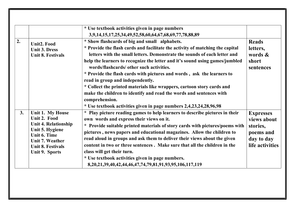| 2. | Unit2. Food<br><b>Unit 3. Dress</b><br><b>Unit 8. Festivals</b>                                                                                                                   | * Use textbook activities given in page numbers<br>3,9,14,15,17,25,34,49,52,58,60,64,67,68,69,77,78,88,89<br>* Show flashcards of big and small alphabets.<br>* Provide the flash cards and facilitate the activity of matching the capital<br>letters with the small letters. Demonstrate the sounds of each letter and<br>help the learners to recognize the letter and it's sound using games/jumbled<br>words/flashcards/ other such activities.<br>* Provide the flash cards with pictures and words, ask the learners to<br>read in group and independently.<br>* Collect the printed materials like wrappers, cartoon story cards and<br>make the children to identify and read the words and sentences with<br>comprehension.<br>* Use textbook activities given in page numbers 2,4,23,24,28,96,98 | <b>Reads</b><br>letters,<br>words $\&$<br>short<br>sentences                              |
|----|-----------------------------------------------------------------------------------------------------------------------------------------------------------------------------------|-------------------------------------------------------------------------------------------------------------------------------------------------------------------------------------------------------------------------------------------------------------------------------------------------------------------------------------------------------------------------------------------------------------------------------------------------------------------------------------------------------------------------------------------------------------------------------------------------------------------------------------------------------------------------------------------------------------------------------------------------------------------------------------------------------------|-------------------------------------------------------------------------------------------|
| 3. | Unit 1. My House<br>Unit 2. Food<br><b>Unit 4. Relationship</b><br>Unit 5. Hygiene<br>Unit 6. Time<br><b>Unit 7. Weather</b><br><b>Unit 8. Festivals</b><br><b>Unit 9. Sports</b> | * Play picture reading games to help learners to describe pictures in their<br>own words and express their views on it.<br>* Provide suitable printed materials of story cards with pictures/poems with<br>pictures, news papers and educational magazines. Allow the children to<br>read aloud in groups and ask them to deliver their views about the given<br>content in two or three sentences. Make sure that all the children in the<br>class will get their turn.<br>* Use textbook activities given in page numbers.<br>8, 20, 21, 39, 40, 42, 44, 46, 47, 74, 79, 81, 91, 93, 95, 106, 117, 119                                                                                                                                                                                                    | <b>Expresses</b><br>views about<br>stories,<br>poems and<br>day to day<br>life activities |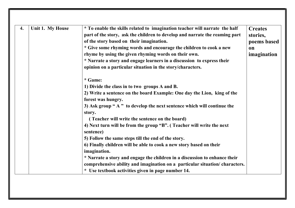| 4. | Unit 1. My House | * To enable the skills related to imagination teacher will narrate the half | <b>Creates</b> |
|----|------------------|-----------------------------------------------------------------------------|----------------|
|    |                  | part of the story, ask the children to develop and narrate the reaming part | stories,       |
|    |                  | of the story based on their imagination.                                    | poems based    |
|    |                  | * Give some rhyming words and encourage the children to cook a new          | <b>on</b>      |
|    |                  | rhyme by using the given rhyming words on their own.                        | imagination    |
|    |                  | * Narrate a story and engage learners in a discussion to express their      |                |
|    |                  | opinion on a particular situation in the story/characters.                  |                |
|    |                  | * Game:                                                                     |                |
|    |                  | 1) Divide the class in to two groups A and B.                               |                |
|    |                  | 2) Write a sentence on the board Example: One day the Lion, king of the     |                |
|    |                  | forest was hungry.                                                          |                |
|    |                  | 3) Ask group "A" to develop the next sentence which will continue the       |                |
|    |                  | story.                                                                      |                |
|    |                  | (Teacher will write the sentence on the board)                              |                |
|    |                  | 4) Next turn will be from the group "B". (Teacher will write the next       |                |
|    |                  | sentence)                                                                   |                |
|    |                  | 5) Follow the same steps till the end of the story.                         |                |
|    |                  | 6) Finally children will be able to cook a new story based on their         |                |
|    |                  | imagination.                                                                |                |
|    |                  | * Narrate a story and engage the children in a discussion to enhance their  |                |
|    |                  | comprehensive ability and imagination on a particular situation/characters. |                |
|    |                  | * Use textbook activities given in page number 14.                          |                |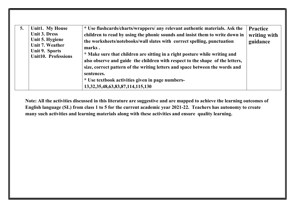| 5. | <b>Unit1. My House</b><br><b>Unit 3. Dress</b><br>Unit 5. Hygiene<br>Unit 7. Weather<br>Unit 9. Sports<br><b>Unit10. Professions</b> | * Use flashcards/charts/wrappers/ any relevant authentic materials. Ask the<br>children to read by using the phonic sounds and insist them to write down in<br>the worksheets/notebooks/wall slates with correct spelling, punctuation<br>marks.<br>* Make sure that children are sitting in a right posture while writing and<br>also observe and guide the children with respect to the shape of the letters,<br>size, correct pattern of the writing letters and space between the words and<br>sentences.<br>* Use textbook activities given in page numbers-<br>13, 32, 35, 48, 63, 83, 87, 114, 115, 130 | <b>Practice</b><br>writing with<br>guidance |
|----|--------------------------------------------------------------------------------------------------------------------------------------|----------------------------------------------------------------------------------------------------------------------------------------------------------------------------------------------------------------------------------------------------------------------------------------------------------------------------------------------------------------------------------------------------------------------------------------------------------------------------------------------------------------------------------------------------------------------------------------------------------------|---------------------------------------------|
|----|--------------------------------------------------------------------------------------------------------------------------------------|----------------------------------------------------------------------------------------------------------------------------------------------------------------------------------------------------------------------------------------------------------------------------------------------------------------------------------------------------------------------------------------------------------------------------------------------------------------------------------------------------------------------------------------------------------------------------------------------------------------|---------------------------------------------|

Note: All the activities discussed in this literature are suggestive and are mapped to achieve the learning outcomes of English language (SL) from class 1 to 5 for the current academic year 2021-22. Teachers has autonomy to create many such activities and learning materials along with these activities and ensure quality learning.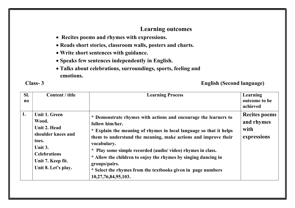## Learning outcomes

- Recites poems and rhymes with expressions.
- Reads short stories, classroom walls, posters and charts.
- Write short sentences with guidance.
- Speaks few sentences independently in English.
- Talks about celebrations, surroundings, sports, feeling and emotions.

## Class- 3 English (Second language)

| SI.<br>$\bf{no}$ | Content / title                                                                                                                                     | <b>Learning Process</b>                                                                                                                                                                                                                                                                                                                                                                                                                                                           | Learning<br>outcome to be<br>achieved                     |
|------------------|-----------------------------------------------------------------------------------------------------------------------------------------------------|-----------------------------------------------------------------------------------------------------------------------------------------------------------------------------------------------------------------------------------------------------------------------------------------------------------------------------------------------------------------------------------------------------------------------------------------------------------------------------------|-----------------------------------------------------------|
| 1.               | Unit 1. Green<br>Wood.<br>Unit 2. Head<br>shoulder knees and<br>toes.<br>Unit 3.<br><b>Celebrations</b><br>Unit 7. Keep fit.<br>Unit 8. Let's play. | * Demonstrate rhymes with actions and encourage the learners to<br>follow him/her.<br>* Explain the meaning of rhymes in local language so that it helps<br>them to understand the meaning, make actions and improve their<br>vocabulary.<br>* Play some simple recorded (audio/video) rhymes in class.<br>* Allow the children to enjoy the rhymes by singing dancing in<br>groups/pairs.<br>* Select the rhymes from the textbooks given in page numbers<br>10,27,76,84,95,103. | <b>Recites poems</b><br>and rhymes<br>with<br>expressions |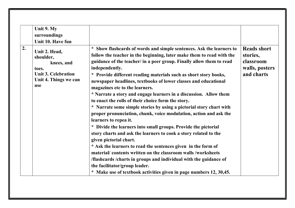|    | Unit 9. My<br>surroundings<br>Unit 10. Have fun                                                                 |                                                                                                                                                                                                                                                                                                                                                                                                                                                                                                                                                                                                                                                                                                                                                                                                                                                                                                                                                                                                                                                                                                                                                                                               |                                                                             |
|----|-----------------------------------------------------------------------------------------------------------------|-----------------------------------------------------------------------------------------------------------------------------------------------------------------------------------------------------------------------------------------------------------------------------------------------------------------------------------------------------------------------------------------------------------------------------------------------------------------------------------------------------------------------------------------------------------------------------------------------------------------------------------------------------------------------------------------------------------------------------------------------------------------------------------------------------------------------------------------------------------------------------------------------------------------------------------------------------------------------------------------------------------------------------------------------------------------------------------------------------------------------------------------------------------------------------------------------|-----------------------------------------------------------------------------|
| 2. | Unit 2. Head,<br>shoulder,<br>knees, and<br>toes.<br><b>Unit 3. Celebration</b><br>Unit 4. Things we can<br>use | * Show flashcards of words and simple sentences. Ask the learners to<br>follow the teacher in the beginning, later make them to read with the<br>guidance of the teacher/ in a peer group. Finally allow them to read<br>independently.<br>* Provide different reading materials such as short story books,<br>newspaper headlines, textbooks of lower classes and educational<br>magazines etc to the learners.<br>* Narrate a story and engage learners in a discussion. Allow them<br>to enact the rolls of their choice form the story.<br>* Narrate some simple stories by using a pictorial story chart with<br>proper pronunciation, chunk, voice modulation, action and ask the<br>learners to repea it.<br>* Divide the learners into small groups. Provide the pictorial<br>story charts and ask the learners to cook a story related to the<br>given pictorial chart.<br>* Ask the learners to read the sentences given in the form of<br>material/contents written on the classroom walls/worksheets<br>/flashcards / charts in groups and individual with the guidance of<br>the facilitator/group leader.<br>* Make use of textbook activities given in page numbers 12, 30,45. | <b>Reads short</b><br>stories,<br>classroom<br>walls, posters<br>and charts |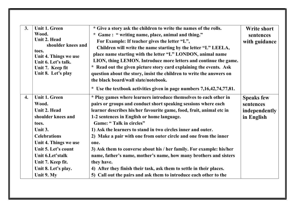| 3. | <b>Unit 1. Green</b>                         | * Give a story ask the children to write the names of the rolls.      | <b>Write short</b> |
|----|----------------------------------------------|-----------------------------------------------------------------------|--------------------|
|    | Wood.                                        | * Game: "writing name, place, animal and thing."                      | sentences          |
|    | Unit 2. Head                                 | For Example: If teacher gives the letter "L",                         | with guidance      |
|    | shoulder knees and                           | Children will write the name starting by the letter "L" LEELA,        |                    |
|    | toes.                                        | place name starting with the letter "L" LONDON, animal name           |                    |
|    | Unit 4. Things we use<br>Unit 6. Let's talk. | LION, thing LEMON. Introduce more letters and continue the game.      |                    |
|    | Unit 7. Keep fit                             | * Read out the given picture story card explaining the events. Ask    |                    |
|    | Unit 8. Let's play                           | question about the story, insist the children to write the answers on |                    |
|    |                                              | the black board/wall slate/notebook.                                  |                    |
|    |                                              | * Use the textbook activities given in page numbers 7,16,42,74,77,81. |                    |
| 4. | <b>Unit 1. Green</b>                         | * Play games where learners introduce themselves to each other in     | <b>Speaks few</b>  |
|    | Wood.                                        | pairs or groups and conduct short speaking sessions where each        | sentences          |
|    | Unit 2. Head                                 | learner describes his/her favourite game, food, fruit, animal etc in  | independently      |
|    | shoulder knees and                           | 1-2 sentences in English or home language.                            | in English         |
|    | toes.                                        | Game: "Talk in circles"                                               |                    |
|    | Unit 3.                                      | 1) Ask the learners to stand in two circles inner and outer.          |                    |
|    | <b>Celebrations</b>                          | 2) Make a pair with one from outer circle and one from the inner      |                    |
|    | Unit 4. Things we use                        | one.                                                                  |                    |
|    | Unit 5. Let's count                          | 3) Ask them to converse about his / her family. For example: his/her  |                    |
|    | Unit 6.Let'stalk                             | name, father's name, mother's name, how many brothers and sisters     |                    |
|    | Unit 7. Keep fit.                            | they have.                                                            |                    |
|    | Unit 8. Let's play.                          | 4) After they finish their task, ask them to settle in their places.  |                    |
|    | Unit 9. My                                   | 5) Call out the pairs and ask them to introduce each other to the     |                    |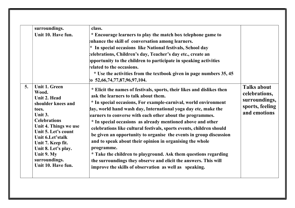|    | surroundings.         | class.                                                                 |                    |
|----|-----------------------|------------------------------------------------------------------------|--------------------|
|    | Unit 10. Have fun.    | * Encourage learners to play the match box telephone game to           |                    |
|    |                       | enhance the skill of conversation among learners.                      |                    |
|    |                       | * In special occasions like National festivals, School day             |                    |
|    |                       | celebrations, Children's day, Teacher's day etc., create an            |                    |
|    |                       | ppportunity to the children to participate in speaking activities      |                    |
|    |                       | related to the occasions.                                              |                    |
|    |                       | * Use the activities from the textbook given in page numbers 35, 45    |                    |
|    |                       | $\{o\ 52, 66, 74, 77, 87, 96, 97, 104. \}$                             |                    |
| 5. | <b>Unit 1. Green</b>  | * Elicit the names of festivals, sports, their likes and dislikes then | <b>Talks about</b> |
|    | Wood.                 | ask the learners to talk about them.                                   | celebrations,      |
|    | Unit 2. Head          | * In special occasions, For example-carnival, world environment        | surroundings,      |
|    | shoulder knees and    |                                                                        | sports, feeling    |
|    | toes.<br>Unit 3.      | lay, world hand wash day, International yoga day etc, make the         | and emotions       |
|    | <b>Celebrations</b>   | earners to converse with each other about the programmes.              |                    |
|    | Unit 4. Things we use | * In special occasions as already mentioned above and other            |                    |
|    | Unit 5. Let's count   | celebrations like cultural festivals, sports events, children should   |                    |
|    | Unit 6.Let'stalk      | be given an opportunity to organise the events in group discussion     |                    |
|    | Unit 7. Keep fit.     | and to speak about their opinion in organising the whole               |                    |
|    | Unit 8. Let's play.   | programme.                                                             |                    |
|    | Unit 9. My            | * Take the children to playground. Ask them questions regarding        |                    |
|    | surroundings.         | the surroundings they observe and elicit the answers. This will        |                    |
|    | Unit 10. Have fun.    | improve the skills of observation as well as speaking.                 |                    |
|    |                       |                                                                        |                    |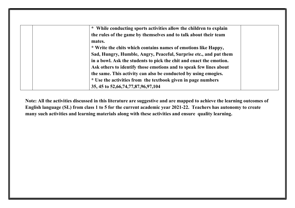| * While conducting sports activities allow the children to explain  |  |
|---------------------------------------------------------------------|--|
| the rules of the game by themselves and to talk about their team    |  |
| mates.                                                              |  |
| * Write the chits which contains names of emotions like Happy,      |  |
| Sad, Hungry, Humble, Angry, Peaceful, Surprise etc., and put them   |  |
| in a bowl. Ask the students to pick the chit and enact the emotion. |  |
| Ask others to identify those emotions and to speak few lines about  |  |
| the same. This activity can also be conducted by using emogies.     |  |
| * Use the activities from the textbook given in page numbers        |  |
| 35, 45 to 52, 66, 74, 77, 87, 96, 97, 104                           |  |

Note: All the activities discussed in this literature are suggestive and are mapped to achieve the learning outcomes of English language (SL) from class 1 to 5 for the current academic year 2021-22. Teachers has autonomy to create many such activities and learning materials along with these activities and ensure quality learning.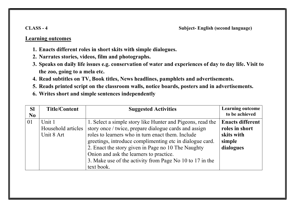### Learning outcomes

- 1. Enacts different roles in short skits with simple dialogues.
- 2. Narrates stories, videos, film and photographs.
- 3. Speaks on daily life issues e.g. conservation of water and experiences of day to day life. Visit to the zoo, going to a mela etc.
- 4. Read subtitles on TV, Book titles, News headlines, pamphlets and advertisements.
- 5. Reads printed script on the classroom walls, notice boards, posters and in advertisements.
- 6. Writes short and simple sentences independently

| <b>SI</b><br>N <sub>0</sub> | <b>Title/Content</b> | <b>Suggested Activities</b>                                | <b>Learning outcome</b><br>to be achieved |
|-----------------------------|----------------------|------------------------------------------------------------|-------------------------------------------|
| 01                          | Unit 1               | 1. Select a simple story like Hunter and Pigeons, read the | <b>Enacts different</b>                   |
|                             | Household articles   | story once / twice, prepare dialogue cards and assign      | roles in short                            |
|                             | Unit 8 Art           | roles to learners who in turn enact them. Include          | skits with                                |
|                             |                      | greetings, introduce complimenting etc in dialogue card.   | simple                                    |
|                             |                      | 2. Enact the story given in Page no 10 The Naughty         | dialogues                                 |
|                             |                      | Onion and ask the learners to practice.                    |                                           |
|                             |                      | 3. Make use of the activity from Page No 10 to 17 in the   |                                           |
|                             |                      | text book.                                                 |                                           |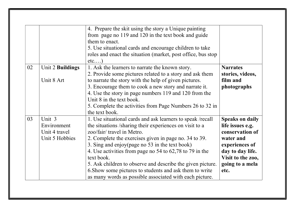|    |                                        | 4. Prepare the skit using the story a Unique painting<br>from page no 119 and 120 in the text book and guide<br>them to enact.<br>5. Use situational cards and encourage children to take<br>roles and enact the situation (market, post office, bus stop<br>$etc$ ) |                                                               |
|----|----------------------------------------|----------------------------------------------------------------------------------------------------------------------------------------------------------------------------------------------------------------------------------------------------------------------|---------------------------------------------------------------|
| 02 | Unit 2 Buildings                       | 1. Ask the learners to narrate the known story.<br>2. Provide some pictures related to a story and ask them                                                                                                                                                          | <b>Narrates</b><br>stories, videos,                           |
|    | Unit 8 Art                             | to narrate the story with the help of given pictures.                                                                                                                                                                                                                | film and                                                      |
|    |                                        | 3. Encourage them to cook a new story and narrate it.                                                                                                                                                                                                                | photographs                                                   |
|    |                                        | 4. Use the story in page numbers 119 and 120 from the<br>Unit 8 in the text book.                                                                                                                                                                                    |                                                               |
|    |                                        | 5. Complete the activities from Page Numbers 26 to 32 in                                                                                                                                                                                                             |                                                               |
|    |                                        | the text book.                                                                                                                                                                                                                                                       |                                                               |
| 03 | Unit 3<br>Environment<br>Unit 4 travel | 1. Use situational cards and ask learners to speak /recall<br>the situations /sharing their experiences on visit to a<br>zoo/fair/ travel in Metro.                                                                                                                  | <b>Speaks on daily</b><br>life issues e.g.<br>conservation of |
|    | Unit 5 Hobbies                         | 2. Complete the exercises given in page no. 34 to 39.<br>3. Sing and enjoy(page no 53 in the text book)                                                                                                                                                              | water and                                                     |
|    |                                        | 4. Use activities from page no 54 to 62,78 to 79 in the                                                                                                                                                                                                              | experiences of<br>day to day life.                            |
|    |                                        | text book.                                                                                                                                                                                                                                                           | Visit to the zoo,                                             |
|    |                                        | 5. Ask children to observe and describe the given picture.                                                                                                                                                                                                           | going to a mela                                               |
|    |                                        | 6. Show some pictures to students and ask them to write                                                                                                                                                                                                              | etc.                                                          |
|    |                                        | as many words as possible associated with each picture.                                                                                                                                                                                                              |                                                               |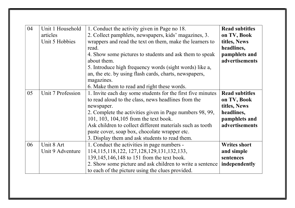| 04 | Unit 1 Household<br>articles<br>Unit 5 Hobbies | 1. Conduct the activity given in Page no 18.<br>2. Collect pamphlets, newspapers, kids' magazines, 3.<br>wrappers and read the text on them, make the learners to<br>read.<br>4. Show some pictures to students and ask them to speak<br>about them.<br>5. Introduce high frequency words (sight words) like a,<br>an, the etc. by using flash cards, charts, newspapers,<br>magazines.<br>6. Make them to read and right these words. | <b>Read subtitles</b><br>on TV, Book<br>titles, News<br>headlines,<br>pamphlets and<br>advertisements |
|----|------------------------------------------------|----------------------------------------------------------------------------------------------------------------------------------------------------------------------------------------------------------------------------------------------------------------------------------------------------------------------------------------------------------------------------------------------------------------------------------------|-------------------------------------------------------------------------------------------------------|
| 05 | Unit 7 Profession                              | 1. Invite each day some students for the first five minutes<br>to read aloud to the class, news headlines from the<br>newspaper.<br>2. Complete the activities given in Page numbers 98, 99,<br>101, 103, 104, 105 from the text book.<br>Ask children to collect different materials such as tooth<br>paste cover, soap box, chocolate wrapper etc.<br>3. Display them and ask students to read them.                                 | <b>Read subtitles</b><br>on TV, Book<br>titles, News<br>headlines,<br>pamphlets and<br>advertisements |
| 06 | Unit 8 Art<br>Unit 9 Adventure                 | 1. Conduct the activities in page numbers -<br>114, 115, 118, 122, 127, 128, 129, 131, 132, 133,<br>139,145,146,148 to 151 from the text book.<br>2. Show some picture and ask children to write a sentence<br>to each of the picture using the clues provided.                                                                                                                                                                        | <b>Writes short</b><br>and simple<br>sentences<br>independently                                       |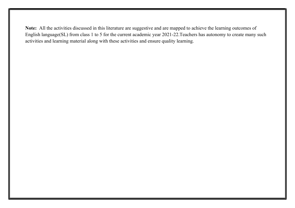Note: All the activities discussed in this literature are suggestive and are mapped to achieve the learning outcomes of English language(SL) from class 1 to 5 for the current academic year 2021-22.Teachers has autonomy to create many such activities and learning material along with these activities and ensure quality learning.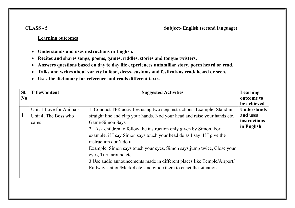#### CLASS - 5 Subject- English (second language)

#### Learning outcomes

- Understands and uses instructions in English.
- Recites and shares songs, poems, games, riddles, stories and tongue twisters.
- Answers questions based on day to day life experiences unfamiliar story, poem heard or read.
- Talks and writes about variety in food, dress, customs and festivals as read/ heard or seen.
- Uses the dictionary for reference and reads different texts.

| SI.      | <b>Title/Content</b>    | <b>Suggested Activities</b>                                                | Learning           |
|----------|-------------------------|----------------------------------------------------------------------------|--------------------|
| $\bf No$ |                         |                                                                            | outcome to         |
|          |                         |                                                                            | be achieved        |
|          | Unit 1 Love for Animals | 1. Conduct TPR activities using two step instructions. Example-Stand in    | <b>Understands</b> |
|          | Unit 4, The Boss who    | straight line and clap your hands. Nod your head and raise your hands etc. | and uses           |
|          | cares                   | Game-Simon Says                                                            | instructions       |
|          |                         | 2. Ask children to follow the instruction only given by Simon. For         | in English         |
|          |                         | example, if I say Simon says touch your head do as I say. If I give the    |                    |
|          |                         | instruction don't do it.                                                   |                    |
|          |                         | Example: Simon says touch your eyes, Simon says jump twice, Close your     |                    |
|          |                         | eyes, Turn around etc.                                                     |                    |
|          |                         | 3. Use audio announcements made in different places like Temple/Airport/   |                    |
|          |                         | Railway station/Market etc and guide them to enact the situation.          |                    |
|          |                         |                                                                            |                    |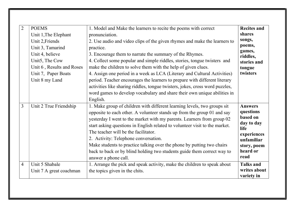| $\overline{2}$ | <b>POEMS</b>              | 1. Model and Make the learners to recite the poems with correct              | <b>Recites and</b>        |
|----------------|---------------------------|------------------------------------------------------------------------------|---------------------------|
|                | Unit 1, The Elephant      | pronunciation.                                                               | shares                    |
|                | Unit 2, Friends           | 2. Use audio and video clips of the given rhymes and make the learners to    | songs,                    |
|                | Unit 3, Tamarind          | practice.                                                                    | poems,                    |
|                | Unit 4, believe           | 3. Encourage them to narrate the summary of the Rhymes.                      | games,<br>riddles,        |
|                | Unit5, The Cow            | 4. Collect some popular and simple riddles, stories, tongue twisters and     | stories and               |
|                | Unit 6, Results and Roses | make the children to solve them with the help of given clues.                | tongue                    |
|                | Unit 7, Paper Boats       | 4. Assign one period in a week as LCA (Literary and Cultural Activities)     | twisters                  |
|                | Unit 8 my Land            | period. Teacher encourages the learners to prepare with different literary   |                           |
|                |                           | activities like sharing riddles, tongue twisters, jokes, cross word puzzles, |                           |
|                |                           | word games to develop vocabulary and share their own unique abilities in     |                           |
|                |                           | English.                                                                     |                           |
| 3              | Unit 2 True Friendship    | 1. Make group of children with different learning levels, two groups sit     | <b>Answers</b>            |
|                |                           | opposite to each other. A volunteer stands up from the group 01 and say      | questions                 |
|                |                           | yesterday I went to the market with my parents. Learners from group 02       | based on                  |
|                |                           | start asking questions in English related to volunteer visit to the market.  | day to day<br><b>life</b> |
|                |                           | The teacher will be the facilitator.                                         | experiences               |
|                |                           | 2. Activity: Telephone conversation.                                         | unfamiliar                |
|                |                           | Make students to practice talking over the phone by putting two chairs       | story, poem               |
|                |                           | back to back or by blind holding two students guide them correct way to      | heard or                  |
|                |                           | answer a phone call.                                                         | read                      |
| $\overline{4}$ | Unit 5 Shabale            | 1. Arrange the pick and speak activity, make the children to speak about     | <b>Talks and</b>          |
|                | Unit 7 A great coachman   | the topics given in the chits.                                               | writes about              |
|                |                           |                                                                              | variety in                |